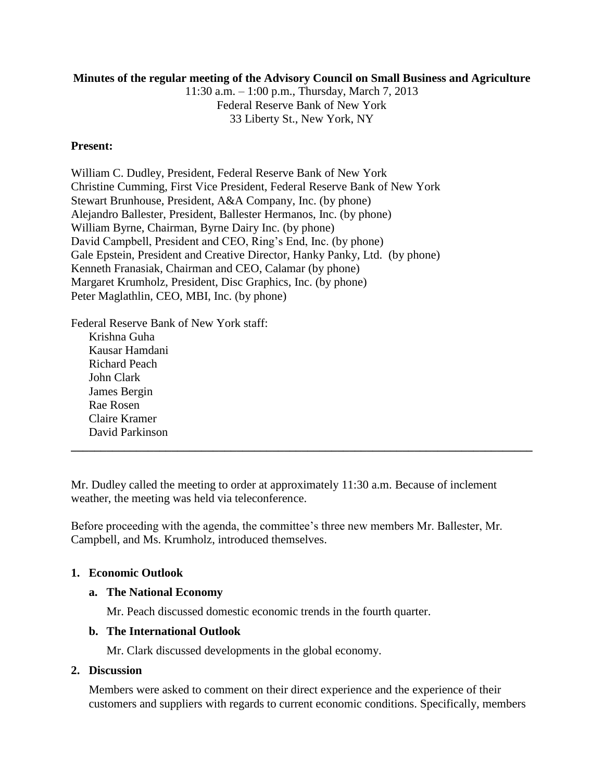# **Minutes of the regular meeting of the Advisory Council on Small Business and Agriculture**

11:30 a.m. – 1:00 p.m., Thursday, March 7, 2013 Federal Reserve Bank of New York 33 Liberty St., New York, NY

#### **Present:**

William C. Dudley, President, Federal Reserve Bank of New York Christine Cumming, First Vice President, Federal Reserve Bank of New York Stewart Brunhouse, President, A&A Company, Inc. (by phone) Alejandro Ballester, President, Ballester Hermanos, Inc. (by phone) William Byrne, Chairman, Byrne Dairy Inc. (by phone) David Campbell, President and CEO, Ring's End, Inc. (by phone) Gale Epstein, President and Creative Director, Hanky Panky, Ltd. (by phone) Kenneth Franasiak, Chairman and CEO, Calamar (by phone) Margaret Krumholz, President, Disc Graphics, Inc. (by phone) Peter Maglathlin, CEO, MBI, Inc. (by phone)

Federal Reserve Bank of New York staff: Krishna Guha Kausar Hamdani Richard Peach John Clark James Bergin

Rae Rosen Claire Kramer David Parkinson

Mr. Dudley called the meeting to order at approximately 11:30 a.m. Because of inclement weather, the meeting was held via teleconference.

**\_\_\_\_\_\_\_\_\_\_\_\_\_\_\_\_\_\_\_\_\_\_\_\_\_\_\_\_\_\_\_\_\_\_\_\_\_\_\_\_\_\_\_\_\_\_\_\_\_\_\_\_\_\_\_\_\_\_\_\_\_\_\_\_\_\_\_\_\_\_\_\_\_\_\_\_\_\_**

Before proceeding with the agenda, the committee's three new members Mr. Ballester, Mr. Campbell, and Ms. Krumholz, introduced themselves.

# **1. Economic Outlook**

# **a. The National Economy**

Mr. Peach discussed domestic economic trends in the fourth quarter.

# **b. The International Outlook**

Mr. Clark discussed developments in the global economy.

# **2. Discussion**

Members were asked to comment on their direct experience and the experience of their customers and suppliers with regards to current economic conditions. Specifically, members